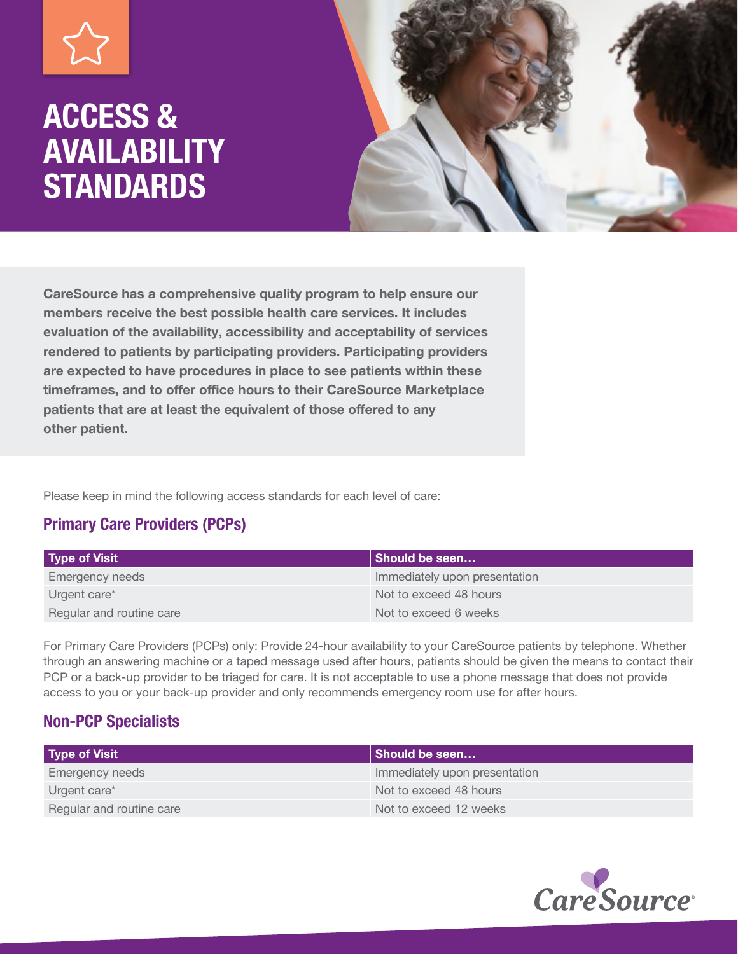# ACCESS & AVAILABILITY **STANDARDS**



CareSource has a comprehensive quality program to help ensure our members receive the best possible health care services. It includes evaluation of the availability, accessibility and acceptability of services rendered to patients by participating providers. Participating providers are expected to have procedures in place to see patients within these timeframes, and to offer office hours to their CareSource Marketplace patients that are at least the equivalent of those offered to any other patient.

Please keep in mind the following access standards for each level of care:

### Primary Care Providers (PCPs)

| <b>Type of Visit</b>     | Should be seen                |
|--------------------------|-------------------------------|
| Emergency needs          | Immediately upon presentation |
| Urgent care*             | Not to exceed 48 hours        |
| Regular and routine care | Not to exceed 6 weeks         |

For Primary Care Providers (PCPs) only: Provide 24-hour availability to your CareSource patients by telephone. Whether through an answering machine or a taped message used after hours, patients should be given the means to contact their PCP or a back-up provider to be triaged for care. It is not acceptable to use a phone message that does not provide access to you or your back-up provider and only recommends emergency room use for after hours.

### Non-PCP Specialists

| <b>Type of Visit</b>     | Should be seen                |
|--------------------------|-------------------------------|
| Emergency needs          | Immediately upon presentation |
| Urgent care*             | Not to exceed 48 hours        |
| Regular and routine care | Not to exceed 12 weeks        |